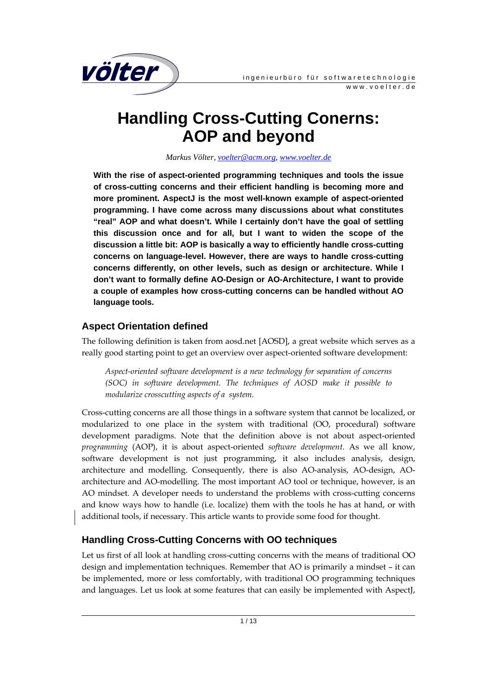

# **Handling Cross-Cutting Conerns: AOP and beyond**

*Markus Völter, voelter@acm.org, www.voelter.de*

**With the rise of aspect-oriented programming techniques and tools the issue of cross-cutting concerns and their efficient handling is becoming more and more prominent. AspectJ is the most well-known example of aspect-oriented programming. I have come across many discussions about what constitutes "real" AOP and what doesn't. While I certainly don't have the goal of settling this discussion once and for all, but I want to widen the scope of the discussion a little bit: AOP is basically a way to efficiently handle cross-cutting concerns on language-level. However, there are ways to handle cross-cutting concerns differently, on other levels, such as design or architecture. While I don't want to formally define AO-Design or AO-Architecture, I want to provide a couple of examples how cross-cutting concerns can be handled without AO language tools.** 

# **Aspect Orientation defined**

The following definition is taken from aosd.net [AOSD], a great website which serves as a really good starting point to get an overview over aspect-oriented software development:

*Aspect-oriented software development is a new technology for separation of concerns (SOC) in software development. The techniques of AOSD make it possible to modularize crosscutting aspects of a system.* 

Cross-cutting concerns are all those things in a software system that cannot be localized, or modularized to one place in the system with traditional (OO, procedural) software development paradigms. Note that the definition above is not about aspect-oriented *programming* (AOP), it is about aspect-oriented *software development*. As we all know, software development is not just programming, it also includes analysis, design, architecture and modelling. Consequently, there is also AO-analysis, AO-design, AOarchitecture and AO-modelling. The most important AO tool or technique, however, is an AO mindset. A developer needs to understand the problems with cross-cutting concerns and know ways how to handle (i.e. localize) them with the tools he has at hand, or with additional tools, if necessary. This article wants to provide some food for thought.

# **Handling Cross-Cutting Concerns with OO techniques**

Let us first of all look at handling cross-cutting concerns with the means of traditional OO design and implementation techniques. Remember that AO is primarily a mindset – it can be implemented, more or less comfortably, with traditional OO programming techniques and languages. Let us look at some features that can easily be implemented with AspectJ,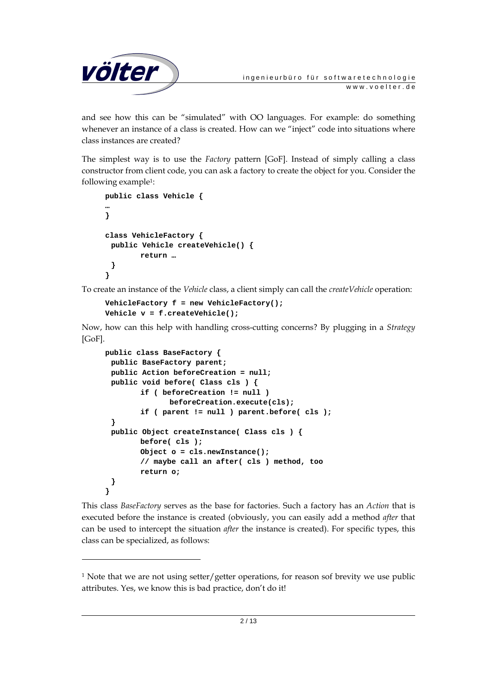

and see how this can be "simulated" with OO languages. For example: do something whenever an instance of a class is created. How can we "inject" code into situations where class instances are created?

The simplest way is to use the *Factory* pattern [GoF]. Instead of simply calling a class constructor from client code, you can ask a factory to create the object for you. Consider the following example1:

```
public class Vehicle { 
… 
} 
class VehicleFactory { 
  public Vehicle createVehicle() { 
          return … 
  } 
}
```
j

To create an instance of the *Vehicle* class, a client simply can call the *createVehicle* operation:

```
VehicleFactory f = new VehicleFactory(); 
Vehicle v = f.createVehicle();
```
Now, how can this help with handling cross-cutting concerns? By plugging in a *Strategy* [GoF].

```
public class BaseFactory { 
  public BaseFactory parent; 
  public Action beforeCreation = null; 
  public void before( Class cls ) { 
         if ( beforeCreation != null ) 
               beforeCreation.execute(cls); 
         if ( parent != null ) parent.before( cls ); 
  } 
  public Object createInstance( Class cls ) { 
         before( cls ); 
         Object o = cls.newInstance(); 
         // maybe call an after( cls ) method, too 
         return o; 
 } 
}
```
This class *BaseFactory* serves as the base for factories. Such a factory has an *Action* that is executed before the instance is created (obviously, you can easily add a method *after* that can be used to intercept the situation *after* the instance is created). For specific types, this class can be specialized, as follows:

<sup>&</sup>lt;sup>1</sup> Note that we are not using setter/getter operations, for reason sof brevity we use public attributes. Yes, we know this is bad practice, don't do it!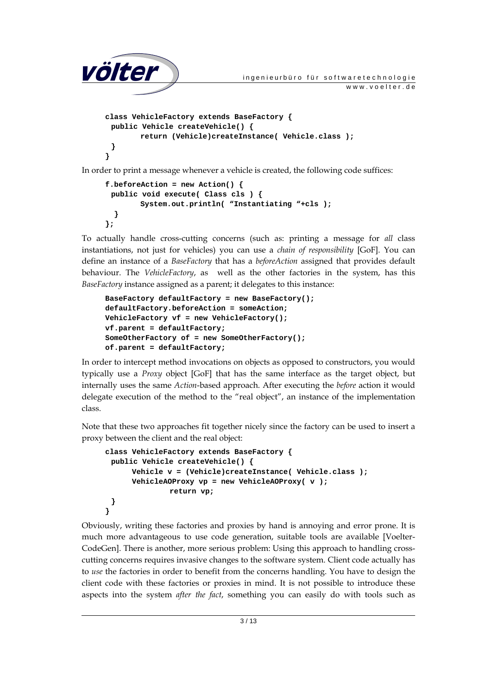```
völter ingenieurbüro für softwaretechnologie
                                                          www.voelter.de
     class VehicleFactory extends BaseFactory { 
       public Vehicle createVehicle() { 
             return (Vehicle)createInstance( Vehicle.class ); 
       } 
     } 
In order to print a message whenever a vehicle is created, the following code suffices:
```

```
f.beforeAction = new Action() { 
  public void execute( Class cls ) { 
         System.out.println( "Instantiating "+cls ); 
   } 
};
```
To actually handle cross-cutting concerns (such as: printing a message for *all* class instantiations, not just for vehicles) you can use a *chain of responsibility* [GoF]. You can define an instance of a *BaseFactory* that has a *beforeAction* assigned that provides default behaviour. The *VehicleFactory*, as well as the other factories in the system, has this *BaseFactory* instance assigned as a parent; it delegates to this instance:

```
BaseFactory defaultFactory = new BaseFactory(); 
defaultFactory.beforeAction = someAction; 
VehicleFactory vf = new VehicleFactory(); 
vf.parent = defaultFactory; 
SomeOtherFactory of = new SomeOtherFactory(); 
of.parent = defaultFactory;
```
In order to intercept method invocations on objects as opposed to constructors, you would typically use a *Proxy* object [GoF] that has the same interface as the target object, but internally uses the same *Action*-based approach. After executing the *before* action it would delegate execution of the method to the "real object", an instance of the implementation class.

Note that these two approaches fit together nicely since the factory can be used to insert a proxy between the client and the real object:

```
class VehicleFactory extends BaseFactory { 
  public Vehicle createVehicle() { 
       Vehicle v = (Vehicle)createInstance( Vehicle.class ); 
       VehicleAOProxy vp = new VehicleAOProxy( v ); 
                return vp; 
  } 
}
```
Obviously, writing these factories and proxies by hand is annoying and error prone. It is much more advantageous to use code generation, suitable tools are available [Voelter-CodeGen]. There is another, more serious problem: Using this approach to handling crosscutting concerns requires invasive changes to the software system. Client code actually has to *use* the factories in order to benefit from the concerns handling. You have to design the client code with these factories or proxies in mind. It is not possible to introduce these aspects into the system *after the fact*, something you can easily do with tools such as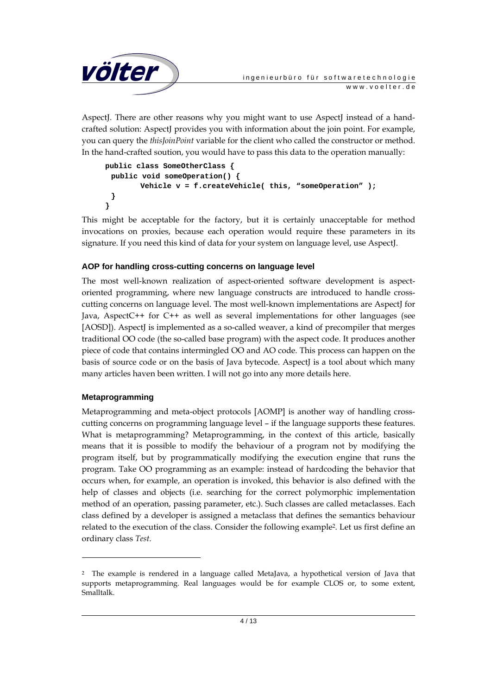

AspectJ. There are other reasons why you might want to use AspectJ instead of a handcrafted solution: AspectJ provides you with information about the join point. For example, you can query the *thisJoinPoint* variable for the client who called the constructor or method. In the hand-crafted soution, you would have to pass this data to the operation manually:

```
public class SomeOtherClass { 
  public void someOperation() { 
         Vehicle v = f.createVehicle( this, "someOperation" ); 
  } 
}
```
This might be acceptable for the factory, but it is certainly unacceptable for method invocations on proxies, because each operation would require these parameters in its signature. If you need this kind of data for your system on language level, use AspectJ.

#### **AOP for handling cross-cutting concerns on language level**

The most well-known realization of aspect-oriented software development is aspectoriented programming, where new language constructs are introduced to handle crosscutting concerns on language level. The most well-known implementations are AspectJ for Java, AspectC++ for C++ as well as several implementations for other languages (see [AOSD]). Aspect] is implemented as a so-called weaver, a kind of precompiler that merges traditional OO code (the so-called base program) with the aspect code. It produces another piece of code that contains intermingled OO and AO code. This process can happen on the basis of source code or on the basis of Java bytecode. AspectJ is a tool about which many many articles haven been written. I will not go into any more details here.

#### **Metaprogramming**

-

Metaprogramming and meta-object protocols [AOMP] is another way of handling crosscutting concerns on programming language level – if the language supports these features. What is metaprogramming? Metaprogramming, in the context of this article, basically means that it is possible to modify the behaviour of a program not by modifying the program itself, but by programmatically modifying the execution engine that runs the program. Take OO programming as an example: instead of hardcoding the behavior that occurs when, for example, an operation is invoked, this behavior is also defined with the help of classes and objects (i.e. searching for the correct polymorphic implementation method of an operation, passing parameter, etc.). Such classes are called metaclasses. Each class defined by a developer is assigned a metaclass that defines the semantics behaviour related to the execution of the class. Consider the following example2. Let us first define an ordinary class *Test*.

<sup>2</sup> The example is rendered in a language called MetaJava, a hypothetical version of Java that supports metaprogramming. Real languages would be for example CLOS or, to some extent, Smalltalk.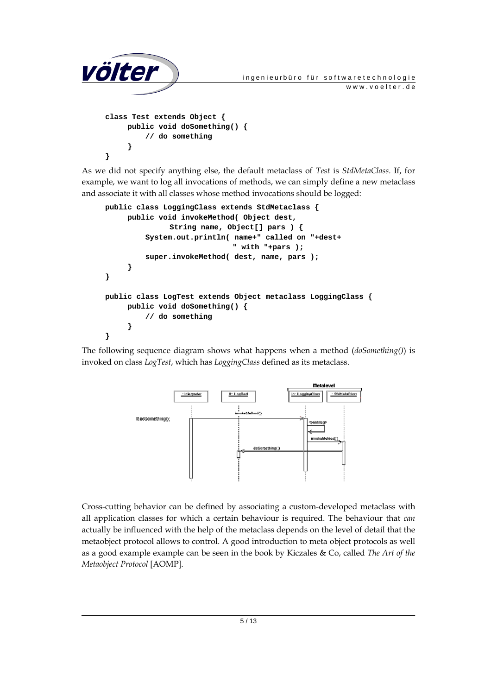

As we did not specify anything else, the default metaclass of *Test* is *StdMetaClass*. If, for example, we want to log all invocations of methods, we can simply define a new metaclass and associate it with all classes whose method invocations should be logged:

```
public class LoggingClass extends StdMetaclass { 
      public void invokeMethod( Object dest, 
               String name, Object[] pars ) { 
           System.out.println( name+" called on "+dest+ 
                                " with "+pars ); 
           super.invokeMethod( dest, name, pars ); 
      } 
} 
public class LogTest extends Object metaclass LoggingClass { 
      public void doSomething() { 
          // do something 
      } 
}
```
The following sequence diagram shows what happens when a method (*doSomething()*) is invoked on class *LogTest*, which has *LoggingClass* defined as its metaclass.



Cross-cutting behavior can be defined by associating a custom-developed metaclass with all application classes for which a certain behaviour is required. The behaviour that *can* actually be influenced with the help of the metaclass depends on the level of detail that the metaobject protocol allows to control. A good introduction to meta object protocols as well as a good example example can be seen in the book by Kiczales & Co, called *The Art of the Metaobject Protocol* [AOMP].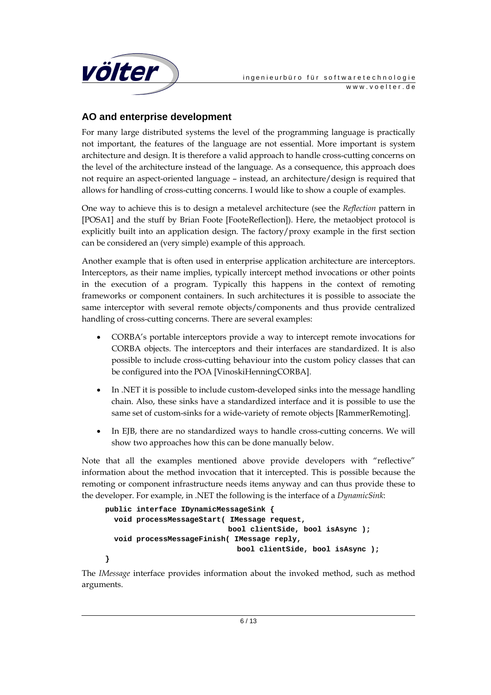

# **AO and enterprise development**

For many large distributed systems the level of the programming language is practically not important, the features of the language are not essential. More important is system architecture and design. It is therefore a valid approach to handle cross-cutting concerns on the level of the architecture instead of the language. As a consequence, this approach does not require an aspect-oriented language – instead, an architecture/design is required that allows for handling of cross-cutting concerns. I would like to show a couple of examples.

One way to achieve this is to design a metalevel architecture (see the *Reflection* pattern in [POSA1] and the stuff by Brian Foote [FooteReflection]). Here, the metaobject protocol is explicitly built into an application design. The factory/proxy example in the first section can be considered an (very simple) example of this approach.

Another example that is often used in enterprise application architecture are interceptors. Interceptors, as their name implies, typically intercept method invocations or other points in the execution of a program. Typically this happens in the context of remoting frameworks or component containers. In such architectures it is possible to associate the same interceptor with several remote objects/components and thus provide centralized handling of cross-cutting concerns. There are several examples:

- CORBA's portable interceptors provide a way to intercept remote invocations for CORBA objects. The interceptors and their interfaces are standardized. It is also possible to include cross-cutting behaviour into the custom policy classes that can be configured into the POA [VinoskiHenningCORBA].
- In .NET it is possible to include custom-developed sinks into the message handling chain. Also, these sinks have a standardized interface and it is possible to use the same set of custom-sinks for a wide-variety of remote objects [RammerRemoting].
- In EJB, there are no standardized ways to handle cross-cutting concerns. We will show two approaches how this can be done manually below.

Note that all the examples mentioned above provide developers with "reflective" information about the method invocation that it intercepted. This is possible because the remoting or component infrastructure needs items anyway and can thus provide these to the developer. For example, in .NET the following is the interface of a *DynamicSink*:

```
public interface IDynamicMessageSink { 
  void processMessageStart( IMessage request, 
                             bool clientSide, bool isAsync ); 
  void processMessageFinish( IMessage reply, 
                                bool clientSide, bool isAsync ); 
}
```
The *IMessage* interface provides information about the invoked method, such as method arguments.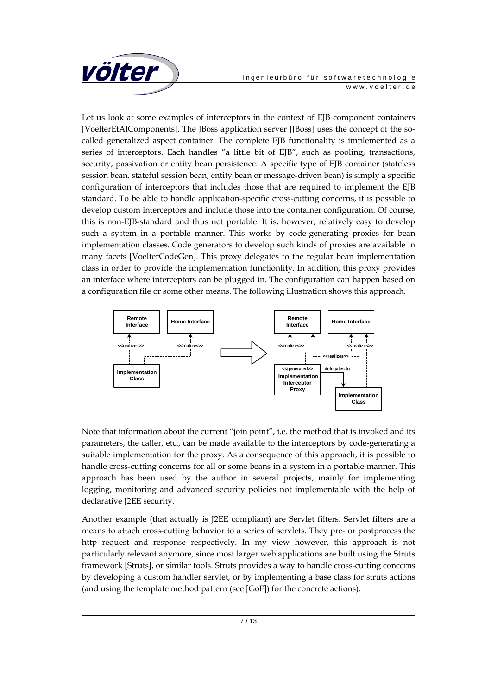

Let us look at some examples of interceptors in the context of EJB component containers [VoelterEtAlComponents]. The JBoss application server [JBoss] uses the concept of the socalled generalized aspect container. The complete EJB functionality is implemented as a series of interceptors. Each handles "a little bit of EJB", such as pooling, transactions, security, passivation or entity bean persistence. A specific type of EJB container (stateless session bean, stateful session bean, entity bean or message-driven bean) is simply a specific configuration of interceptors that includes those that are required to implement the EJB standard. To be able to handle application-specific cross-cutting concerns, it is possible to develop custom interceptors and include those into the container configuration. Of course, this is non-EJB-standard and thus not portable. It is, however, relatively easy to develop such a system in a portable manner. This works by code-generating proxies for bean implementation classes. Code generators to develop such kinds of proxies are available in many facets [VoelterCodeGen]. This proxy delegates to the regular bean implementation class in order to provide the implementation functionlity. In addition, this proxy provides an interface where interceptors can be plugged in. The configuration can happen based on a configuration file or some other means. The following illustration shows this approach.



Note that information about the current "join point", i.e. the method that is invoked and its parameters, the caller, etc., can be made available to the interceptors by code-generating a suitable implementation for the proxy. As a consequence of this approach, it is possible to handle cross-cutting concerns for all or some beans in a system in a portable manner. This approach has been used by the author in several projects, mainly for implementing logging, monitoring and advanced security policies not implementable with the help of declarative J2EE security.

Another example (that actually is J2EE compliant) are Servlet filters. Servlet filters are a means to attach cross-cutting behavior to a series of servlets. They pre- or postprocess the http request and response respectively. In my view however, this approach is not particularly relevant anymore, since most larger web applications are built using the Struts framework [Struts], or similar tools. Struts provides a way to handle cross-cutting concerns by developing a custom handler servlet, or by implementing a base class for struts actions (and using the template method pattern (see [GoF]) for the concrete actions).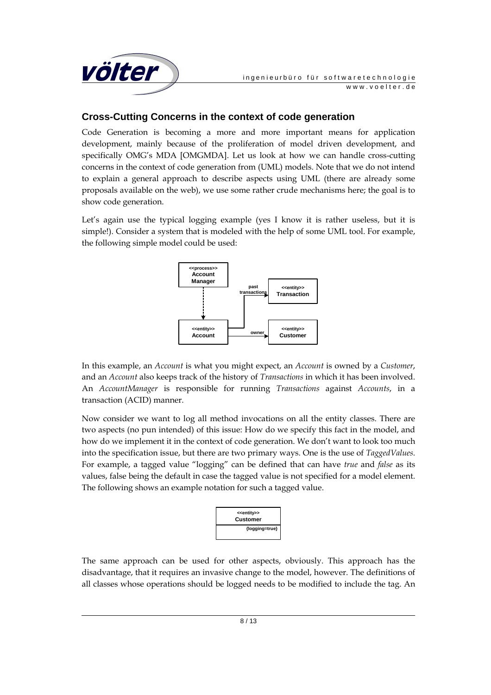

## **Cross-Cutting Concerns in the context of code generation**

Code Generation is becoming a more and more important means for application development, mainly because of the proliferation of model driven development, and specifically OMG's MDA [OMGMDA]. Let us look at how we can handle cross-cutting concerns in the context of code generation from (UML) models. Note that we do not intend to explain a general approach to describe aspects using UML (there are already some proposals available on the web), we use some rather crude mechanisms here; the goal is to show code generation.

Let's again use the typical logging example (yes I know it is rather useless, but it is simple!). Consider a system that is modeled with the help of some UML tool. For example, the following simple model could be used:



In this example, an *Account* is what you might expect, an *Account* is owned by a *Customer*, and an *Account* also keeps track of the history of *Transactions* in which it has been involved. An *AccountManager* is responsible for running *Transactions* against *Accounts*, in a transaction (ACID) manner.

Now consider we want to log all method invocations on all the entity classes. There are two aspects (no pun intended) of this issue: How do we specify this fact in the model, and how do we implement it in the context of code generation. We don't want to look too much into the specification issue, but there are two primary ways. One is the use of *TaggedValues*. For example, a tagged value "logging" can be defined that can have *true* and *false* as its values, false being the default in case the tagged value is not specified for a model element. The following shows an example notation for such a tagged value.



The same approach can be used for other aspects, obviously. This approach has the disadvantage, that it requires an invasive change to the model, however. The definitions of all classes whose operations should be logged needs to be modified to include the tag. An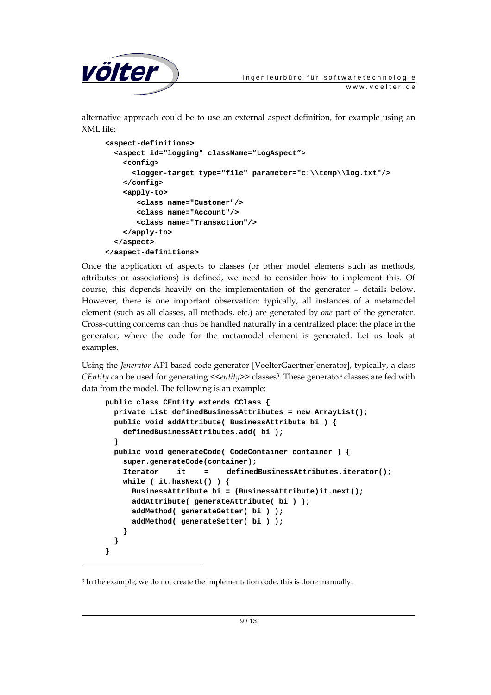

alternative approach could be to use an external aspect definition, for example using an XML file:

```
<aspect-definitions> 
   <aspect id="logging" className="LogAspect"> 
     <config> 
       <logger-target type="file" parameter="c:\\temp\\log.txt"/> 
     </config> 
     <apply-to> 
        <class name="Customer"/> 
        <class name="Account"/> 
        <class name="Transaction"/> 
     </apply-to> 
   </aspect> 
</aspect-definitions>
```
Once the application of aspects to classes (or other model elemens such as methods, attributes or associations) is defined, we need to consider how to implement this. Of course, this depends heavily on the implementation of the generator – details below. However, there is one important observation: typically, all instances of a metamodel element (such as all classes, all methods, etc.) are generated by *one* part of the generator. Cross-cutting concerns can thus be handled naturally in a centralized place: the place in the generator, where the code for the metamodel element is generated. Let us look at examples.

Using the *Jenerator* API-based code generator [VoelterGaertnerJenerator], typically, a class *CEntity* can be used for generating *<<entity>*> classes<sup>3</sup>. These generator classes are fed with data from the model. The following is an example:

```
public class CEntity extends CClass { 
   private List definedBusinessAttributes = new ArrayList(); 
  public void addAttribute( BusinessAttribute bi ) { 
     definedBusinessAttributes.add( bi ); 
   } 
  public void generateCode( CodeContainer container ) { 
     super.generateCode(container); 
     Iterator it = definedBusinessAttributes.iterator(); 
     while ( it.hasNext() ) { 
       BusinessAttribute bi = (BusinessAttribute)it.next(); 
       addAttribute( generateAttribute( bi ) ); 
       addMethod( generateGetter( bi ) ); 
       addMethod( generateSetter( bi ) ); 
     } 
   } 
}
```
-

<sup>&</sup>lt;sup>3</sup> In the example, we do not create the implementation code, this is done manually.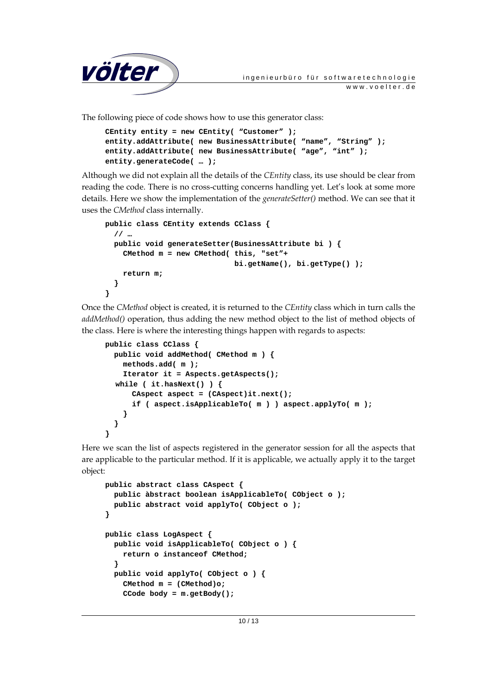

The following piece of code shows how to use this generator class:

```
CEntity entity = new CEntity( "Customer" ); 
entity.addAttribute( new BusinessAttribute( "name", "String" ); 
entity.addAttribute( new BusinessAttribute( "age", "int" ); 
entity.generateCode( … );
```
Although we did not explain all the details of the *CEntity* class, its use should be clear from reading the code. There is no cross-cutting concerns handling yet. Let's look at some more details. Here we show the implementation of the *generateSetter()* method. We can see that it uses the *CMethod* class internally.

```
public class CEntity extends CClass { 
   // … 
   public void generateSetter(BusinessAttribute bi ) { 
     CMethod m = new CMethod( this, "set"+ 
                                 bi.getName(), bi.getType() ); 
     return m; 
   } 
}
```
Once the *CMethod* object is created, it is returned to the *CEntity* class which in turn calls the *addMethod()* operation, thus adding the new method object to the list of method objects of the class. Here is where the interesting things happen with regards to aspects:

```
public class CClass { 
  public void addMethod( CMethod m ) { 
     methods.add( m ); 
     Iterator it = Aspects.getAspects(); 
   while ( it.hasNext() ) { 
       CAspect aspect = (CAspect)it.next(); 
       if ( aspect.isApplicableTo( m ) ) aspect.applyTo( m ); 
     } 
   } 
}
```
Here we scan the list of aspects registered in the generator session for all the aspects that are applicable to the particular method. If it is applicable, we actually apply it to the target object:

```
public abstract class CAspect { 
  public àbstract boolean isApplicableTo( CObject o ); 
   public abstract void applyTo( CObject o ); 
} 
public class LogAspect { 
  public void isApplicableTo( CObject o ) { 
     return o instanceof CMethod; 
   } 
  public void applyTo( CObject o ) { 
     CMethod m = (CMethod)o; 
     CCode body = m.getBody();
```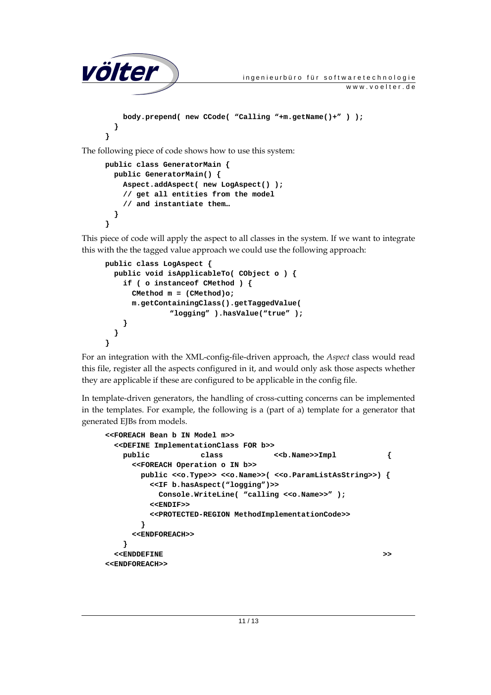```
völter ingenieurbüro für softwaretechnologie
                                                        www.voelter.de
         body.prepend( new CCode( "Calling "+m.getName()+" ) ); 
       } 
     } 
The following piece of code shows how to use this system: 
     public class GeneratorMain {
```

```
 public GeneratorMain() { 
     Aspect.addAspect( new LogAspect() ); 
     // get all entities from the model 
     // and instantiate them… 
   } 
}
```
This piece of code will apply the aspect to all classes in the system. If we want to integrate this with the the tagged value approach we could use the following approach:

```
public class LogAspect { 
  public void isApplicableTo( CObject o ) { 
     if ( o instanceof CMethod ) { 
       CMethod m = (CMethod)o; 
       m.getContainingClass().getTaggedValue( 
               "logging" ).hasValue("true" ); 
     } 
   } 
}
```
For an integration with the XML-config-file-driven approach, the *Aspect* class would read this file, register all the aspects configured in it, and would only ask those aspects whether they are applicable if these are configured to be applicable in the config file.

In template-driven generators, the handling of cross-cutting concerns can be implemented in the templates. For example, the following is a (part of a) template for a generator that generated EJBs from models.

```
<<FOREACH Bean b IN Model m>> 
  <<DEFINE ImplementationClass FOR b>> 
   public class <<br/>b.Name>>Impl {
      <<FOREACH Operation o IN b>> 
       public <<o.Type>> <<o.Name>>( <<o.ParamListAsString>>) { 
         <<IF b.hasAspect("logging")>> 
          Console.WriteLine( "calling <<o.Name>>" );
          <<ENDIF>> 
         <<PROTECTED-REGION MethodImplementationCode>> 
        } 
      <<ENDFOREACH>> 
    } 
  <<ENDDEFINE >> 
<<ENDFOREACH>>
```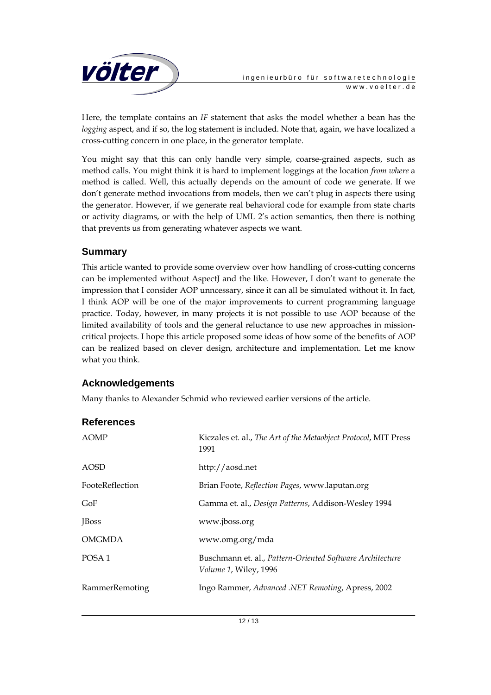

Here, the template contains an *IF* statement that asks the model whether a bean has the *logging* aspect, and if so, the log statement is included. Note that, again, we have localized a cross-cutting concern in one place, in the generator template.

You might say that this can only handle very simple, coarse-grained aspects, such as method calls. You might think it is hard to implement loggings at the location *from where* a method is called. Well, this actually depends on the amount of code we generate. If we don't generate method invocations from models, then we can't plug in aspects there using the generator. However, if we generate real behavioral code for example from state charts or activity diagrams, or with the help of UML 2's action semantics, then there is nothing that prevents us from generating whatever aspects we want.

### **Summary**

This article wanted to provide some overview over how handling of cross-cutting concerns can be implemented without AspectJ and the like. However, I don't want to generate the impression that I consider AOP unncessary, since it can all be simulated without it. In fact, I think AOP will be one of the major improvements to current programming language practice. Today, however, in many projects it is not possible to use AOP because of the limited availability of tools and the general reluctance to use new approaches in missioncritical projects. I hope this article proposed some ideas of how some of the benefits of AOP can be realized based on clever design, architecture and implementation. Let me know what you think.

#### **Acknowledgements**

Many thanks to Alexander Schmid who reviewed earlier versions of the article.

#### **References**

| <b>AOMP</b>       | Kiczales et. al., The Art of the Metaobject Protocol, MIT Press<br>1991            |
|-------------------|------------------------------------------------------------------------------------|
| AOSD              | http://aosd.net                                                                    |
| FooteReflection   | Brian Foote, Reflection Pages, www.laputan.org                                     |
| GoF               | Gamma et. al., Design Patterns, Addison-Wesley 1994                                |
| <b>J</b> Boss     | www.jboss.org                                                                      |
| <b>OMGMDA</b>     | www.omg.org/mda                                                                    |
| POSA <sub>1</sub> | Buschmann et. al., Pattern-Oriented Software Architecture<br>Volume 1, Wiley, 1996 |
| RammerRemoting    | Ingo Rammer, Advanced .NET Remoting, Apress, 2002                                  |